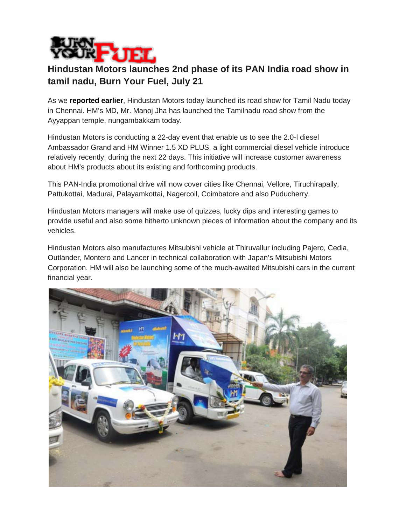

## **Hindustan Motors launches 2nd phase of its PAN India road show in tamil nadu, Burn Your Fuel, July 21**

As we **[reported earlier](http://www.burnyourfuel.com/news/car-news/hm-launches-road-show-to-showcase-the-upcoming-models)**, Hindustan Motors today launched its road show for Tamil Nadu today in Chennai. HM's MD, Mr. Manoj Jha has launched the Tamilnadu road show from the Ayyappan temple, nungambakkam today.

Hindustan Motors is conducting a 22-day event that enable us to see the 2.0-l diesel Ambassador Grand and HM Winner 1.5 XD PLUS, a light commercial diesel vehicle introduce relatively recently, during the next 22 days. This initiative will increase customer awareness about HM's products about its existing and forthcoming products.

This PAN-India promotional drive will now cover cities like Chennai, Vellore, Tiruchirapally, Pattukottai, Madurai, Palayamkottai, Nagercoil, Coimbatore and also Puducherry.

Hindustan Motors managers will make use of quizzes, lucky dips and interesting games to provide useful and also some hitherto unknown pieces of information about the company and its vehicles.

Hindustan Motors also manufactures Mitsubishi vehicle at Thiruvallur including Pajero, Cedia, Outlander, Montero and Lancer in technical collaboration with Japan's Mitsubishi Motors Corporation. HM will also be launching some of the much-awaited Mitsubishi cars in the current financial year.